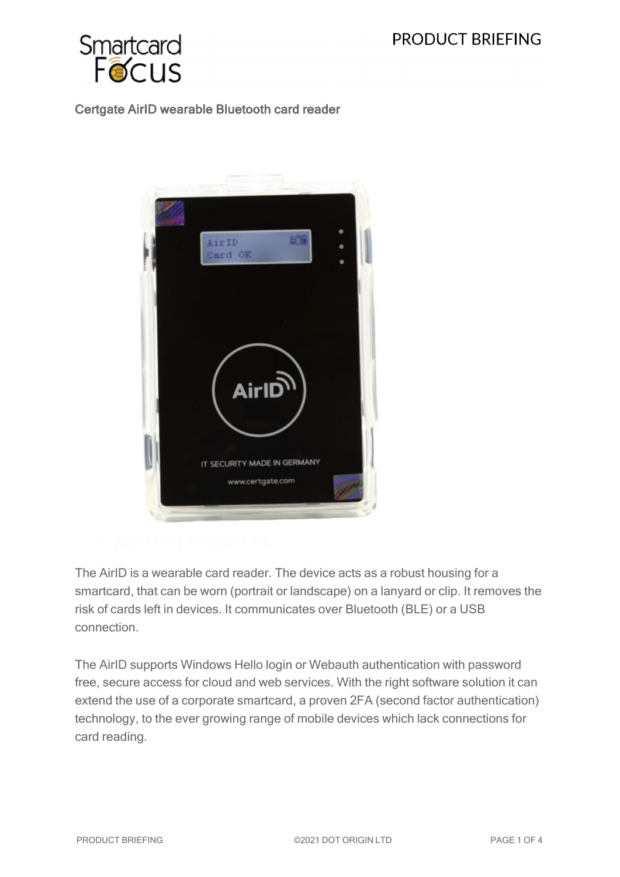

## Certgate AirID wearable Bluetooth card reader



The AirID is a wearable card reader. The device acts as a robust housing for a smartcard, that can be worn (portrait or landscape) on a lanyard or clip. It removes the risk of cards left in devices. It communicates over Bluetooth (BLE) or a USB connection.

The AirID supports Windows Hello login or Webauth authentication with password free, secure access for cloud and web services. With the right software solution it can extend the use of a corporate smartcard, a proven 2FA (second factor authentication) technology, to the ever growing range of mobile devices which lack connections for card reading.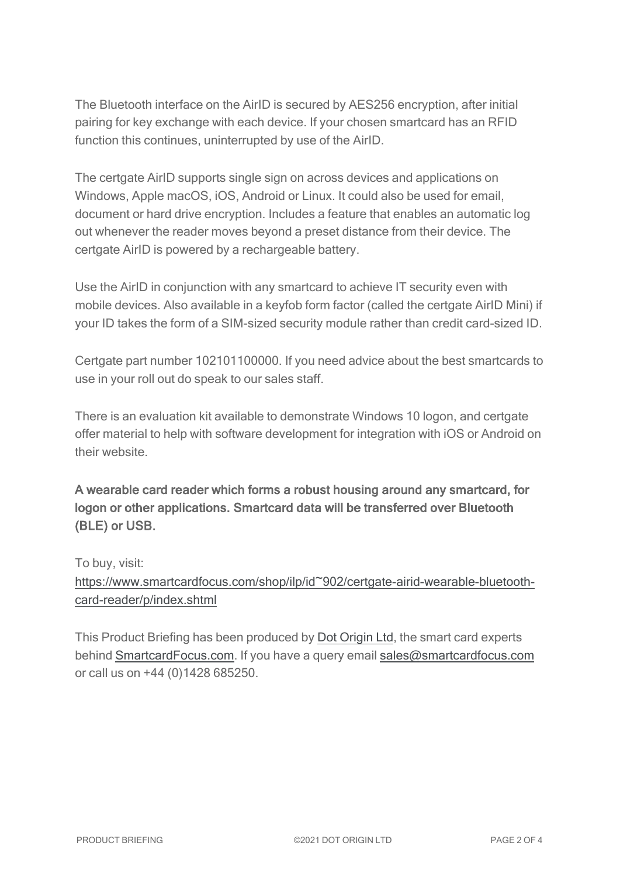The Bluetooth interface on the AirID is secured by AES256 encryption, after initial pairing for key exchange with each device. If your chosen smartcard has an RFID function this continues, uninterrupted by use of the AirID.

The certgate AirID supports single sign on across devices and applications on Windows, Apple macOS, iOS, Android or Linux. It could also be used for email, document or hard drive encryption. Includes a feature that enables an automatic log out whenever the reader moves beyond a preset distance from their device. The certgate AirID is powered by a rechargeable battery.

Use the AirID in conjunction with any smartcard to achieve IT security even with mobile devices. Also available in a keyfob form factor (called the certgate AirID Mini) if your ID takes the form of a SIM-sized security module rather than credit card-sized ID.

Certgate part number 102101100000. If you need advice about the best smartcards to use in your roll out do speak to our sales staff.

There is an evaluation kit available to demonstrate Windows 10 logon, and certgate offer material to help with software development for integration with iOS or Android on their website.

A wearable card reader which forms a robust housing around any smartcard, for logon or other applications. Smartcard data will be transferred over Bluetooth (BLE) or USB.

To buy, visit: [https://www.smartcardfocus.com/shop/ilp/id~902/certgate-airid-wearable-bluetooth](https://www.smartcardfocus.com/shop/ilp/id~902/certgate-airid-wearable-bluetooth-card-reader/p/index.shtml?utm_source=download&utm_medium=pdf&utm_campaign=scf-product-pdf)[card-reader/p/index.shtml](https://www.smartcardfocus.com/shop/ilp/id~902/certgate-airid-wearable-bluetooth-card-reader/p/index.shtml?utm_source=download&utm_medium=pdf&utm_campaign=scf-product-pdf)

This Product Briefing has been produced by Dot [Origin](https://www.dotorigin.com/) Ltd, the smart card experts behind [SmartcardFocus.com.](https://www.smartcardfocus.com/?utm_source=download&utm_medium=pdf&utm_campaign=scf-product-pdf) If you have a query email [sales@smartcardfocus.com](mailto:sales@smartcardfocus.com?subject=Product Briefing query) or call us on +44 (0)1428 685250.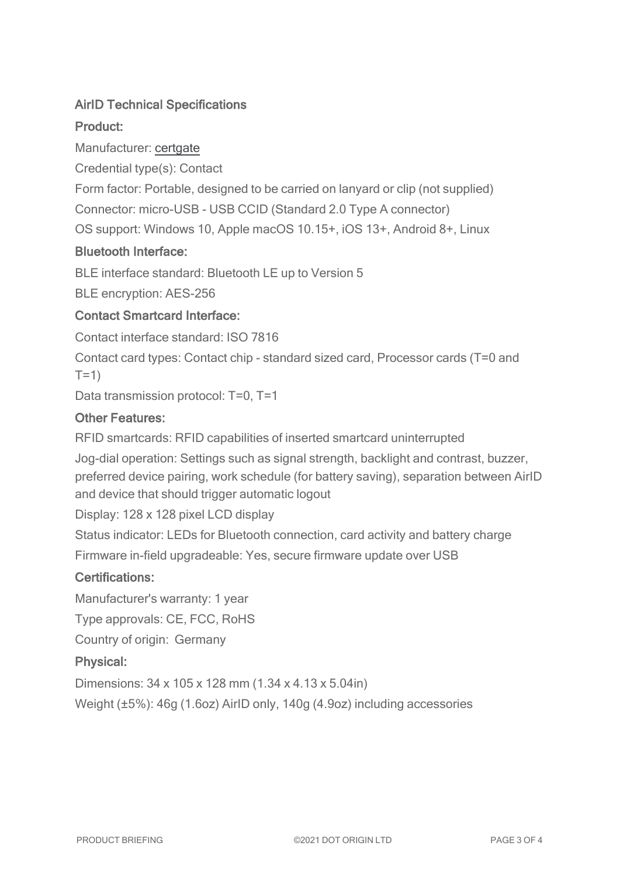# AirID Technical Specifications

# Product:

Manufacturer: [certgate](https://airid.com/en/airid/)

Credential type(s): Contact

Form factor: Portable, designed to be carried on lanyard or clip (not supplied)

Connector: micro-USB - USB CCID (Standard 2.0 Type A connector)

OS support: Windows 10, Apple macOS 10.15+, iOS 13+, Android 8+, Linux

#### Bluetooth Interface:

BLE interface standard: Bluetooth LE up to Version 5

BLE encryption: AES-256

## Contact Smartcard Interface:

Contact interface standard: ISO 7816

Contact card types: Contact chip - standard sized card, Processor cards (T=0 and  $T=1$ )

Data transmission protocol: T=0, T=1

#### Other Features:

RFID smartcards: RFID capabilities of inserted smartcard uninterrupted

Jog-dial operation: Settings such as signal strength, backlight and contrast, buzzer, preferred device pairing, work schedule (for battery saving), separation between AirID and device that should trigger automatic logout

Display: 128 x 128 pixel LCD display

Status indicator: LEDs for Bluetooth connection, card activity and battery charge Firmware in-field upgradeable: Yes, secure firmware update over USB

## Certifications:

Manufacturer's warranty: 1 year

Type approvals: CE, FCC, RoHS

Country of origin: Germany

## Physical:

Dimensions: 34 x 105 x 128 mm (1.34 x 4.13 x 5.04in)

Weight (±5%): 46g (1.6oz) AirID only, 140g (4.9oz) including accessories